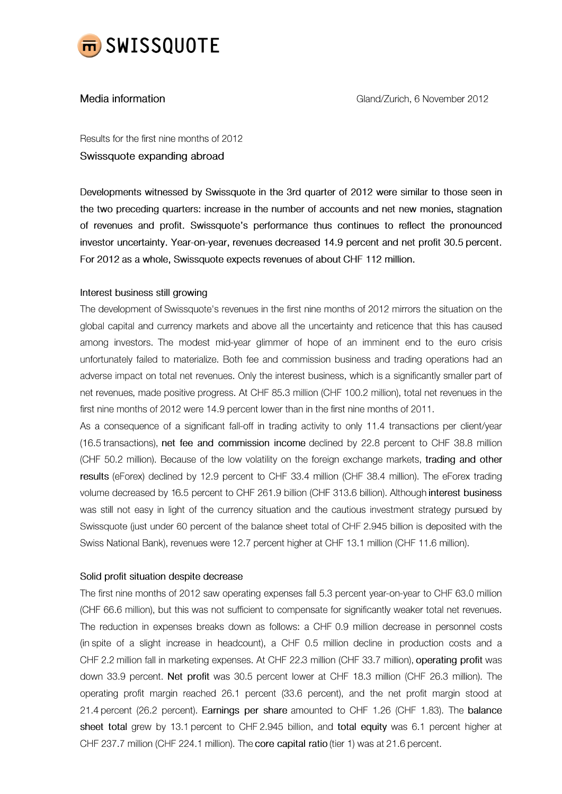

## Media information

Results for the first nine months of 2012 Swissquote expanding abroad

Developments witnessed by Swissquote in the 3rd quarter of 2012 were similar to those seen in the two preceding quarters: increase in the number of accounts and net new monies, stagnation of revenues and profit. Swissquote's performance thus continues to reflect the pronounced investor uncertainty. Year-on-year, revenues decreased 14.9 percent and net profit 30.5 percent. For 2012 as a whole, Swissquote expects revenues of about CHF 112 million.

# Interest business still growing

The development of Swissquote's revenues in the first nine months of 2012 mirrors the situation on the global capital and currency markets and above all the uncertainty and reticence that this has caused among investors. The modest mid-year glimmer of hope of an imminent end to the euro crisis unfortunately failed to materialize. Both fee and commission business and trading operations had an adverse impact on total net revenues. Only the interest business, which is a significantly smaller part of net revenues, made positive progress. At CHF 85.3 million (CHF 100.2 million), total net revenues in the first nine months of 2012 were 14.9 percent lower than in the first nine months of 2011.

As a consequence of a significant fall-off in trading activity to only 11.4 transactions per client/year (16.5 transactions), net fee and commission income declined by 22.8 percent to CHF 38.8 million (CHF 50.2 million). Because of the low volatility on the foreign exchange markets, trading and other results (eForex) declined by 12.9 percent to CHF 33.4 million (CHF 38.4 million). The eForex trading volume decreased by 16.5 percent to CHF 261.9 billion (CHF 313.6 billion). Although interest business was still not easy in light of the currency situation and the cautious investment strategy pursued by Swissquote (just under 60 percent of the balance sheet total of CHF 2.945 billion is deposited with the Swiss National Bank), revenues were 12.7 percent higher at CHF 13.1 million (CHF 11.6 million).

## Solid profit situation despite decrease

The first nine months of 2012 saw operating expenses fall 5.3 percent year-on-year to CHF 63.0 million (CHF 66.6 million), but this was not sufficient to compensate for significantly weaker total net revenues. The reduction in expenses breaks down as follows: a CHF 0.9 million decrease in personnel costs (in spite of a slight increase in headcount), a CHF 0.5 million decline in production costs and a CHF 2.2 million fall in marketing expenses. At CHF 22.3 million (CHF 33.7 million), operating profit was down 33.9 percent. Net profit was 30.5 percent lower at CHF 18.3 million (CHF 26.3 million). The operating profit margin reached 26.1 percent (33.6 percent), and the net profit margin stood at 21.4 percent (26.2 percent). Earnings per share amounted to CHF 1.26 (CHF 1.83). The balance sheet total grew by 13.1 percent to CHF 2.945 billion, and total equity was 6.1 percent higher at CHF 237.7 million (CHF 224.1 million). The core capital ratio (tier 1) was at 21.6 percent.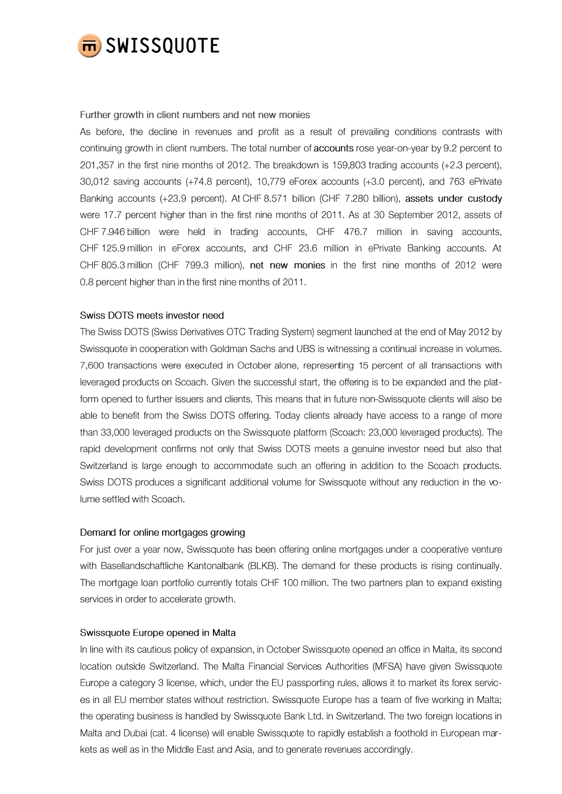

#### Further growth in client numbers and net new monies

As before, the decline in revenues and profit as a result of prevailing conditions contrasts with continuing growth in client numbers. The total number of accounts rose year-on-year by 9.2 percent to 201,357 in the first nine months of 2012. The breakdown is 159,803 trading accounts (+2.3 percent), 30,012 saving accounts (+74.8 percent), 10,779 eForex accounts (+3.0 percent), and 763 ePrivate Banking accounts (+23.9 percent). At CHF 8.571 billion (CHF 7.280 billion), assets under custody were 17.7 percent higher than in the first nine months of 2011. As at 30 September 2012, assets of CHF 7.946 billion were held in trading accounts, CHF 476.7 million in saving accounts, CHF 125.9 million in eForex accounts, and CHF 23.6 million in ePrivate Banking accounts. At CHF 805.3 million (CHF 799.3 million), net new monies in the first nine months of 2012 were 0.8 percent higher than in the first nine months of 2011.

## Swiss DOTS meets investor need

The Swiss DOTS (Swiss Derivatives OTC Trading System) segment launched at the end of May 2012 by Swissquote in cooperation with Goldman Sachs and UBS is witnessing a continual increase in volumes. 7,600 transactions were executed in October alone, representing 15 percent of all transactions with leveraged products on Scoach. Given the successful start, the offering is to be expanded and the platform opened to further issuers and clients. This means that in future non-Swissquote clients will also be able to benefit from the Swiss DOTS offering. Today clients already have access to a range of more than 33,000 leveraged products on the Swissquote platform (Scoach: 23,000 leveraged products). The rapid development confirms not only that Swiss DOTS meets a genuine investor need but also that Switzerland is large enough to accommodate such an offering in addition to the Scoach products. Swiss DOTS produces a significant additional volume for Swissquote without any reduction in the volume settled with Scoach.

## Demand for online mortgages growing

For just over a year now, Swissquote has been offering online mortgages under a cooperative venture with Basellandschaftliche Kantonalbank (BLKB). The demand for these products is rising continually. The mortgage loan portfolio currently totals CHF 100 million. The two partners plan to expand existing services in order to accelerate growth.

## Swissquote Europe opened in Malta

In line with its cautious policy of expansion, in October Swissquote opened an office in Malta, its second location outside Switzerland. The Malta Financial Services Authorities (MFSA) have given Swissquote Europe a category 3 license, which, under the EU passporting rules, allows it to market its forex services in all EU member states without restriction. Swissquote Europe has a team of five working in Malta; the operating business is handled by Swissquote Bank Ltd. in Switzerland. The two foreign locations in Malta and Dubai (cat. 4 license) will enable Swissquote to rapidly establish a foothold in European markets as well as in the Middle East and Asia, and to generate revenues accordingly.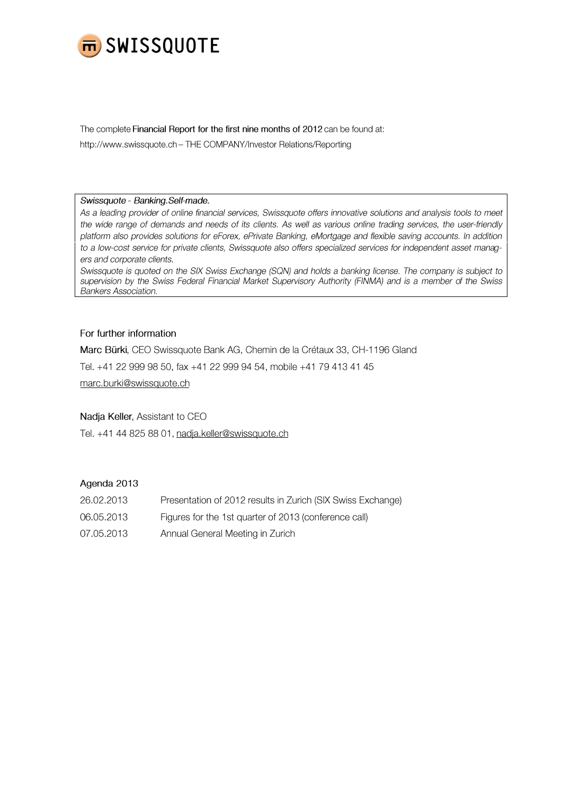

The complete Financial Report for the first nine months of 2012 can be found at:

http://www.swissquote.ch - THE COMPANY/Investor Relations/Reporting

#### Swissquote - Banking.Self-made.

As a leading provider of online financial services, Swissquote offers innovative solutions and analysis tools to meet the wide range of demands and needs of its clients. As well as various online trading services, the user-friendly platform also provides solutions for eForex, ePrivate Banking, eMortgage and flexible saving accounts. In addition to a low-cost service for private clients, Swissquote also offers specialized services for independent asset managers and corporate clients.

Swissquote is quoted on the SIX Swiss Exchange (SQN) and holds a banking license. The company is subject to supervision by the Swiss Federal Financial Market Supervisory Authority (FINMA) and is a member of the Swiss **Bankers Association.** 

# For further information

Marc Bürki, CEO Swissquote Bank AG, Chemin de la Crétaux 33, CH-1196 Gland

Tel. +41 22 999 98 50, fax +41 22 999 94 54, mobile +41 79 413 41 45

marc.burki@swissquote.ch

Nadja Keller, Assistant to CEO

Tel. +41 44 825 88 01, nadja.keller@swissquote.ch

# Agenda 2013

- Presentation of 2012 results in Zurich (SIX Swiss Exchange) 26.02.2013
- Figures for the 1st quarter of 2013 (conference call) 06.05.2013
- 07.05.2013 Annual General Meeting in Zurich